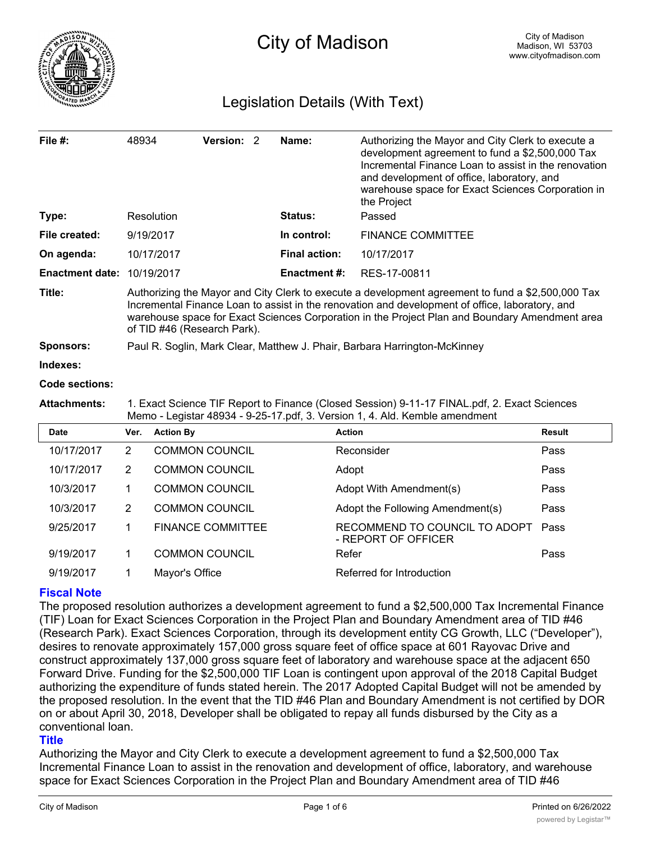

# Legislation Details (With Text)

| File $#$ :                        | 48934                                                                                                                                                                                                                                                                                                                                 |                          | Version: 2 |  | Name:                | Authorizing the Mayor and City Clerk to execute a<br>development agreement to fund a \$2,500,000 Tax<br>Incremental Finance Loan to assist in the renovation<br>and development of office, laboratory, and<br>warehouse space for Exact Sciences Corporation in<br>the Project |               |  |
|-----------------------------------|---------------------------------------------------------------------------------------------------------------------------------------------------------------------------------------------------------------------------------------------------------------------------------------------------------------------------------------|--------------------------|------------|--|----------------------|--------------------------------------------------------------------------------------------------------------------------------------------------------------------------------------------------------------------------------------------------------------------------------|---------------|--|
| Type:                             |                                                                                                                                                                                                                                                                                                                                       | Resolution               |            |  | <b>Status:</b>       | Passed                                                                                                                                                                                                                                                                         |               |  |
| File created:                     |                                                                                                                                                                                                                                                                                                                                       | 9/19/2017                |            |  | In control:          | <b>FINANCE COMMITTEE</b>                                                                                                                                                                                                                                                       |               |  |
| On agenda:                        |                                                                                                                                                                                                                                                                                                                                       | 10/17/2017               |            |  | <b>Final action:</b> | 10/17/2017                                                                                                                                                                                                                                                                     |               |  |
| <b>Enactment date: 10/19/2017</b> |                                                                                                                                                                                                                                                                                                                                       |                          |            |  | <b>Enactment #:</b>  | RES-17-00811                                                                                                                                                                                                                                                                   |               |  |
| Title:                            | Authorizing the Mayor and City Clerk to execute a development agreement to fund a \$2,500,000 Tax<br>Incremental Finance Loan to assist in the renovation and development of office, laboratory, and<br>warehouse space for Exact Sciences Corporation in the Project Plan and Boundary Amendment area<br>of TID #46 (Research Park). |                          |            |  |                      |                                                                                                                                                                                                                                                                                |               |  |
| Sponsors:                         | Paul R. Soglin, Mark Clear, Matthew J. Phair, Barbara Harrington-McKinney                                                                                                                                                                                                                                                             |                          |            |  |                      |                                                                                                                                                                                                                                                                                |               |  |
| Indexes:                          |                                                                                                                                                                                                                                                                                                                                       |                          |            |  |                      |                                                                                                                                                                                                                                                                                |               |  |
| Code sections:                    |                                                                                                                                                                                                                                                                                                                                       |                          |            |  |                      |                                                                                                                                                                                                                                                                                |               |  |
| <b>Attachments:</b>               | 1. Exact Science TIF Report to Finance (Closed Session) 9-11-17 FINAL.pdf, 2. Exact Sciences<br>Memo - Legistar 48934 - 9-25-17.pdf, 3. Version 1, 4. Ald. Kemble amendment                                                                                                                                                           |                          |            |  |                      |                                                                                                                                                                                                                                                                                |               |  |
| <b>Date</b>                       | Ver.                                                                                                                                                                                                                                                                                                                                  | <b>Action By</b>         |            |  |                      | <b>Action</b>                                                                                                                                                                                                                                                                  | <b>Result</b> |  |
| 10/17/2017                        | $\overline{2}$                                                                                                                                                                                                                                                                                                                        | <b>COMMON COUNCIL</b>    |            |  |                      | Reconsider                                                                                                                                                                                                                                                                     | Pass          |  |
| 10/17/2017                        | 2                                                                                                                                                                                                                                                                                                                                     | <b>COMMON COUNCIL</b>    |            |  |                      | Adopt                                                                                                                                                                                                                                                                          | Pass          |  |
| 10/3/2017                         | 1                                                                                                                                                                                                                                                                                                                                     | <b>COMMON COUNCIL</b>    |            |  |                      | Adopt With Amendment(s)                                                                                                                                                                                                                                                        | Pass          |  |
| 10/3/2017                         | $\overline{2}$                                                                                                                                                                                                                                                                                                                        | <b>COMMON COUNCIL</b>    |            |  |                      | Adopt the Following Amendment(s)                                                                                                                                                                                                                                               | Pass          |  |
| 9/25/2017                         | 1                                                                                                                                                                                                                                                                                                                                     | <b>FINANCE COMMITTEE</b> |            |  |                      | RECOMMEND TO COUNCIL TO ADOPT<br>- REPORT OF OFFICER                                                                                                                                                                                                                           | Pass          |  |
| 9/19/2017                         | 1                                                                                                                                                                                                                                                                                                                                     | <b>COMMON COUNCIL</b>    |            |  |                      | Refer                                                                                                                                                                                                                                                                          | Pass          |  |

## **Fiscal Note**

The proposed resolution authorizes a development agreement to fund a \$2,500,000 Tax Incremental Finance (TIF) Loan for Exact Sciences Corporation in the Project Plan and Boundary Amendment area of TID #46 (Research Park). Exact Sciences Corporation, through its development entity CG Growth, LLC ("Developer"), desires to renovate approximately 157,000 gross square feet of office space at 601 Rayovac Drive and construct approximately 137,000 gross square feet of laboratory and warehouse space at the adjacent 650 Forward Drive. Funding for the \$2,500,000 TIF Loan is contingent upon approval of the 2018 Capital Budget authorizing the expenditure of funds stated herein. The 2017 Adopted Capital Budget will not be amended by the proposed resolution. In the event that the TID #46 Plan and Boundary Amendment is not certified by DOR on or about April 30, 2018, Developer shall be obligated to repay all funds disbursed by the City as a conventional loan.

9/19/2017 1 Mayor's Office Referred for Introduction

## **Title**

Authorizing the Mayor and City Clerk to execute a development agreement to fund a \$2,500,000 Tax Incremental Finance Loan to assist in the renovation and development of office, laboratory, and warehouse space for Exact Sciences Corporation in the Project Plan and Boundary Amendment area of TID #46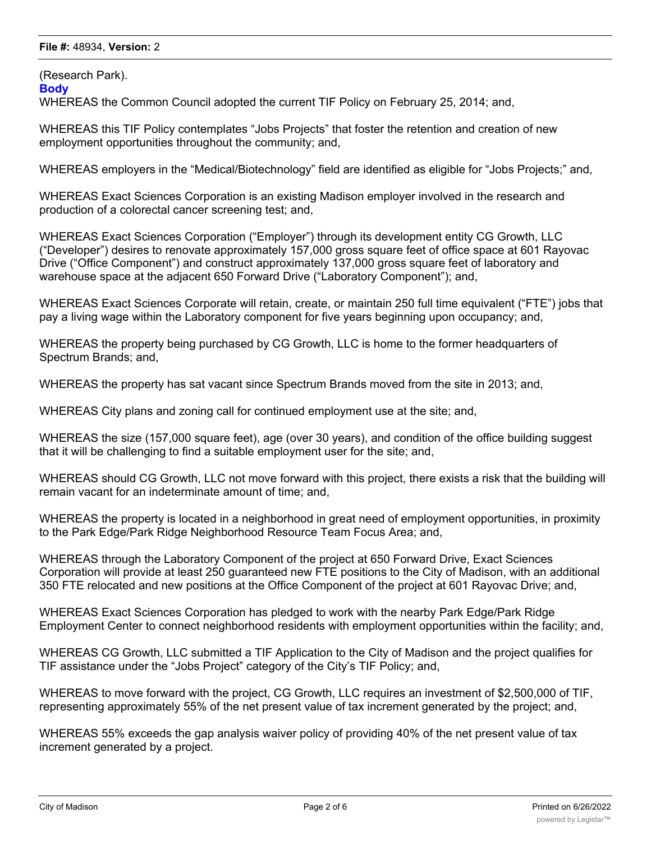### **File #:** 48934, **Version:** 2

(Research Park).

**Body**

WHEREAS the Common Council adopted the current TIF Policy on February 25, 2014; and,

WHEREAS this TIF Policy contemplates "Jobs Projects" that foster the retention and creation of new employment opportunities throughout the community; and,

WHEREAS employers in the "Medical/Biotechnology" field are identified as eligible for "Jobs Projects;" and,

WHEREAS Exact Sciences Corporation is an existing Madison employer involved in the research and production of a colorectal cancer screening test; and,

WHEREAS Exact Sciences Corporation ("Employer") through its development entity CG Growth, LLC ("Developer") desires to renovate approximately 157,000 gross square feet of office space at 601 Rayovac Drive ("Office Component") and construct approximately 137,000 gross square feet of laboratory and warehouse space at the adjacent 650 Forward Drive ("Laboratory Component"); and,

WHEREAS Exact Sciences Corporate will retain, create, or maintain 250 full time equivalent ("FTE") jobs that pay a living wage within the Laboratory component for five years beginning upon occupancy; and,

WHEREAS the property being purchased by CG Growth, LLC is home to the former headquarters of Spectrum Brands; and,

WHEREAS the property has sat vacant since Spectrum Brands moved from the site in 2013; and,

WHEREAS City plans and zoning call for continued employment use at the site; and,

WHEREAS the size (157,000 square feet), age (over 30 years), and condition of the office building suggest that it will be challenging to find a suitable employment user for the site; and,

WHEREAS should CG Growth, LLC not move forward with this project, there exists a risk that the building will remain vacant for an indeterminate amount of time; and,

WHEREAS the property is located in a neighborhood in great need of employment opportunities, in proximity to the Park Edge/Park Ridge Neighborhood Resource Team Focus Area; and,

WHEREAS through the Laboratory Component of the project at 650 Forward Drive, Exact Sciences Corporation will provide at least 250 guaranteed new FTE positions to the City of Madison, with an additional 350 FTE relocated and new positions at the Office Component of the project at 601 Rayovac Drive; and,

WHEREAS Exact Sciences Corporation has pledged to work with the nearby Park Edge/Park Ridge Employment Center to connect neighborhood residents with employment opportunities within the facility; and,

WHEREAS CG Growth, LLC submitted a TIF Application to the City of Madison and the project qualifies for TIF assistance under the "Jobs Project" category of the City's TIF Policy; and,

WHEREAS to move forward with the project, CG Growth, LLC requires an investment of \$2,500,000 of TIF, representing approximately 55% of the net present value of tax increment generated by the project; and,

WHEREAS 55% exceeds the gap analysis waiver policy of providing 40% of the net present value of tax increment generated by a project.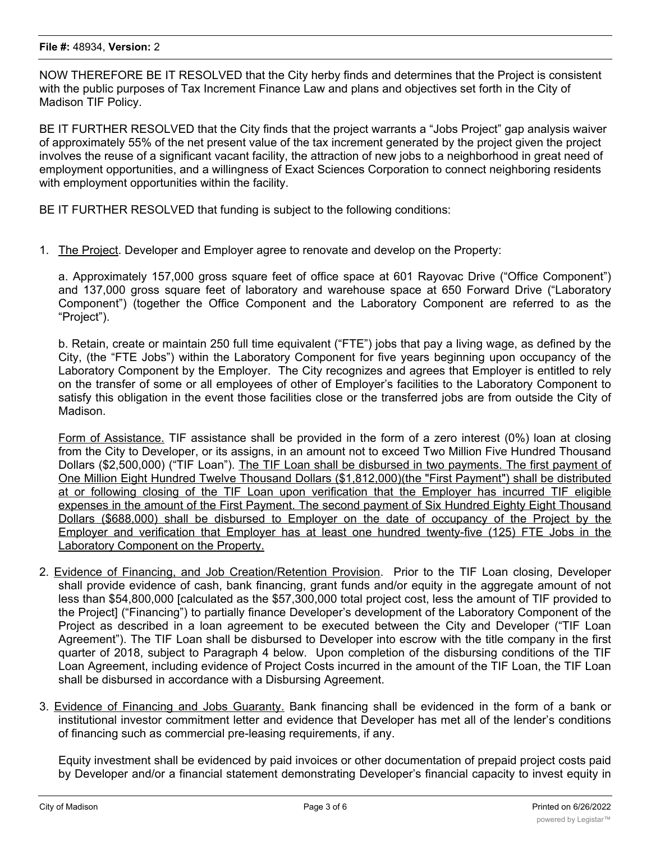#### **File #:** 48934, **Version:** 2

NOW THEREFORE BE IT RESOLVED that the City herby finds and determines that the Project is consistent with the public purposes of Tax Increment Finance Law and plans and objectives set forth in the City of Madison TIF Policy.

BE IT FURTHER RESOLVED that the City finds that the project warrants a "Jobs Project" gap analysis waiver of approximately 55% of the net present value of the tax increment generated by the project given the project involves the reuse of a significant vacant facility, the attraction of new jobs to a neighborhood in great need of employment opportunities, and a willingness of Exact Sciences Corporation to connect neighboring residents with employment opportunities within the facility.

BE IT FURTHER RESOLVED that funding is subject to the following conditions:

1. The Project. Developer and Employer agree to renovate and develop on the Property:

a. Approximately 157,000 gross square feet of office space at 601 Rayovac Drive ("Office Component") and 137,000 gross square feet of laboratory and warehouse space at 650 Forward Drive ("Laboratory Component") (together the Office Component and the Laboratory Component are referred to as the "Project").

b. Retain, create or maintain 250 full time equivalent ("FTE") jobs that pay a living wage, as defined by the City, (the "FTE Jobs") within the Laboratory Component for five years beginning upon occupancy of the Laboratory Component by the Employer. The City recognizes and agrees that Employer is entitled to rely on the transfer of some or all employees of other of Employer's facilities to the Laboratory Component to satisfy this obligation in the event those facilities close or the transferred jobs are from outside the City of Madison.

Form of Assistance. TIF assistance shall be provided in the form of a zero interest (0%) loan at closing from the City to Developer, or its assigns, in an amount not to exceed Two Million Five Hundred Thousand Dollars (\$2,500,000) ("TIF Loan"). The TIF Loan shall be disbursed in two payments. The first payment of One Million Eight Hundred Twelve Thousand Dollars (\$1,812,000)(the "First Payment") shall be distributed at or following closing of the TIF Loan upon verification that the Employer has incurred TIF eligible expenses in the amount of the First Payment. The second payment of Six Hundred Eighty Eight Thousand Dollars (\$688,000) shall be disbursed to Employer on the date of occupancy of the Project by the Employer and verification that Employer has at least one hundred twenty-five (125) FTE Jobs in the Laboratory Component on the Property.

- 2. Evidence of Financing, and Job Creation/Retention Provision. Prior to the TIF Loan closing, Developer shall provide evidence of cash, bank financing, grant funds and/or equity in the aggregate amount of not less than \$54,800,000 [calculated as the \$57,300,000 total project cost, less the amount of TIF provided to the Project] ("Financing") to partially finance Developer's development of the Laboratory Component of the Project as described in a loan agreement to be executed between the City and Developer ("TIF Loan Agreement"). The TIF Loan shall be disbursed to Developer into escrow with the title company in the first quarter of 2018, subject to Paragraph 4 below. Upon completion of the disbursing conditions of the TIF Loan Agreement, including evidence of Project Costs incurred in the amount of the TIF Loan, the TIF Loan shall be disbursed in accordance with a Disbursing Agreement.
- 3. Evidence of Financing and Jobs Guaranty. Bank financing shall be evidenced in the form of a bank or institutional investor commitment letter and evidence that Developer has met all of the lender's conditions of financing such as commercial pre-leasing requirements, if any.

Equity investment shall be evidenced by paid invoices or other documentation of prepaid project costs paid by Developer and/or a financial statement demonstrating Developer's financial capacity to invest equity in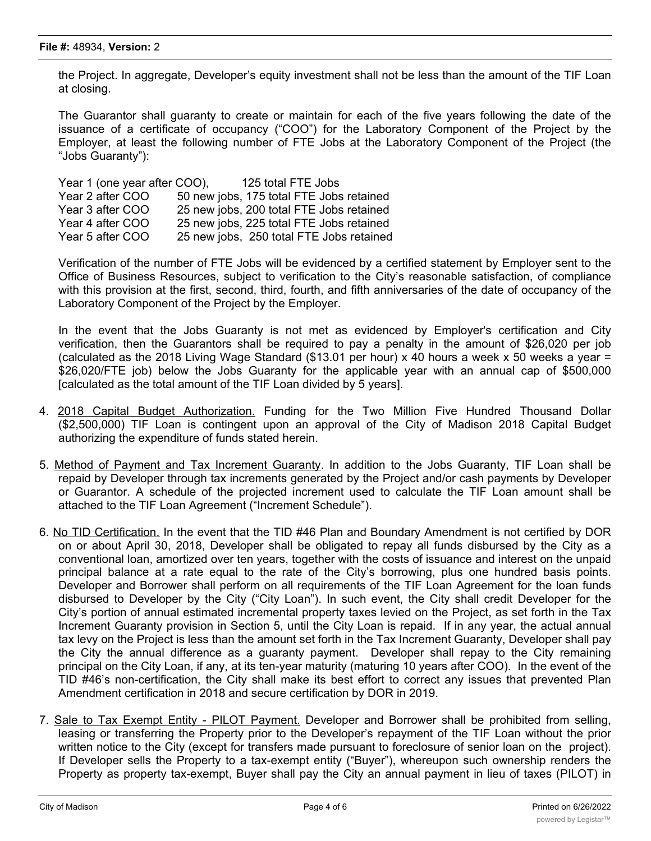the Project. In aggregate, Developer's equity investment shall not be less than the amount of the TIF Loan at closing.

The Guarantor shall guaranty to create or maintain for each of the five years following the date of the issuance of a certificate of occupancy ("COO") for the Laboratory Component of the Project by the Employer, at least the following number of FTE Jobs at the Laboratory Component of the Project (the "Jobs Guaranty"):

| Year 1 (one year after COO), | 125 total FTE Jobs                       |
|------------------------------|------------------------------------------|
| Year 2 after COO             | 50 new jobs, 175 total FTE Jobs retained |
| Year 3 after COO             | 25 new jobs, 200 total FTE Jobs retained |
| Year 4 after COO             | 25 new jobs, 225 total FTE Jobs retained |
| Year 5 after COO             | 25 new jobs, 250 total FTE Jobs retained |

Verification of the number of FTE Jobs will be evidenced by a certified statement by Employer sent to the Office of Business Resources, subject to verification to the City's reasonable satisfaction, of compliance with this provision at the first, second, third, fourth, and fifth anniversaries of the date of occupancy of the Laboratory Component of the Project by the Employer.

In the event that the Jobs Guaranty is not met as evidenced by Employer's certification and City verification, then the Guarantors shall be required to pay a penalty in the amount of \$26,020 per job (calculated as the 2018 Living Wage Standard (\$13.01 per hour) x 40 hours a week x 50 weeks a year = \$26,020/FTE job) below the Jobs Guaranty for the applicable year with an annual cap of \$500,000 [calculated as the total amount of the TIF Loan divided by 5 years].

- 4. 2018 Capital Budget Authorization. Funding for the Two Million Five Hundred Thousand Dollar (\$2,500,000) TIF Loan is contingent upon an approval of the City of Madison 2018 Capital Budget authorizing the expenditure of funds stated herein.
- 5. Method of Payment and Tax Increment Guaranty. In addition to the Jobs Guaranty, TIF Loan shall be repaid by Developer through tax increments generated by the Project and/or cash payments by Developer or Guarantor. A schedule of the projected increment used to calculate the TIF Loan amount shall be attached to the TIF Loan Agreement ("Increment Schedule").
- 6. No TID Certification. In the event that the TID #46 Plan and Boundary Amendment is not certified by DOR on or about April 30, 2018, Developer shall be obligated to repay all funds disbursed by the City as a conventional loan, amortized over ten years, together with the costs of issuance and interest on the unpaid principal balance at a rate equal to the rate of the City's borrowing, plus one hundred basis points. Developer and Borrower shall perform on all requirements of the TIF Loan Agreement for the loan funds disbursed to Developer by the City ("City Loan"). In such event, the City shall credit Developer for the City's portion of annual estimated incremental property taxes levied on the Project, as set forth in the Tax Increment Guaranty provision in Section 5, until the City Loan is repaid. If in any year, the actual annual tax levy on the Project is less than the amount set forth in the Tax Increment Guaranty, Developer shall pay the City the annual difference as a guaranty payment. Developer shall repay to the City remaining principal on the City Loan, if any, at its ten-year maturity (maturing 10 years after COO). In the event of the TID #46's non-certification, the City shall make its best effort to correct any issues that prevented Plan Amendment certification in 2018 and secure certification by DOR in 2019.
- 7. Sale to Tax Exempt Entity PILOT Payment. Developer and Borrower shall be prohibited from selling, leasing or transferring the Property prior to the Developer's repayment of the TIF Loan without the prior written notice to the City (except for transfers made pursuant to foreclosure of senior loan on the project). If Developer sells the Property to a tax-exempt entity ("Buyer"), whereupon such ownership renders the Property as property tax-exempt, Buyer shall pay the City an annual payment in lieu of taxes (PILOT) in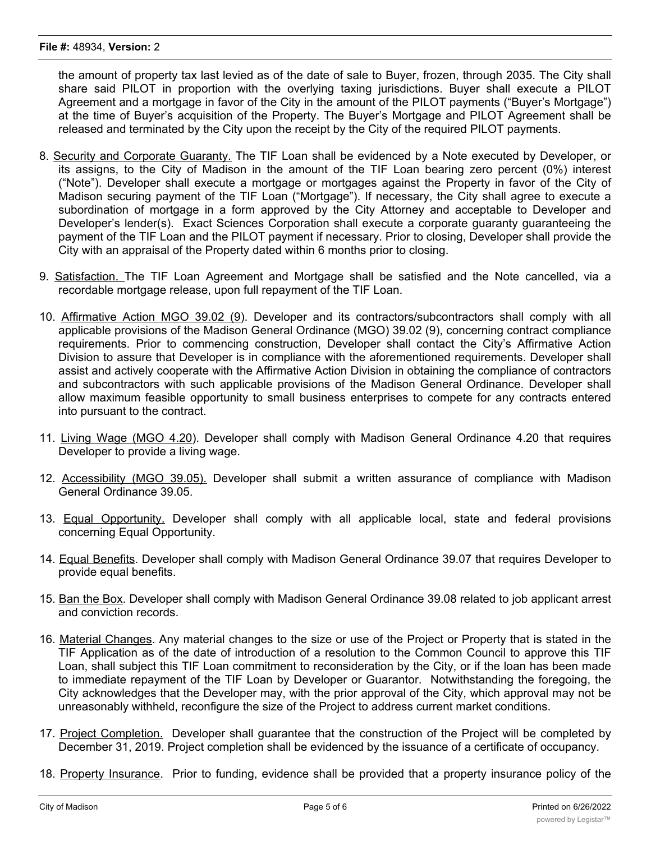the amount of property tax last levied as of the date of sale to Buyer, frozen, through 2035. The City shall share said PILOT in proportion with the overlying taxing jurisdictions. Buyer shall execute a PILOT Agreement and a mortgage in favor of the City in the amount of the PILOT payments ("Buyer's Mortgage") at the time of Buyer's acquisition of the Property. The Buyer's Mortgage and PILOT Agreement shall be released and terminated by the City upon the receipt by the City of the required PILOT payments.

- 8. Security and Corporate Guaranty. The TIF Loan shall be evidenced by a Note executed by Developer, or its assigns, to the City of Madison in the amount of the TIF Loan bearing zero percent (0%) interest ("Note"). Developer shall execute a mortgage or mortgages against the Property in favor of the City of Madison securing payment of the TIF Loan ("Mortgage"). If necessary, the City shall agree to execute a subordination of mortgage in a form approved by the City Attorney and acceptable to Developer and Developer's lender(s). Exact Sciences Corporation shall execute a corporate guaranty guaranteeing the payment of the TIF Loan and the PILOT payment if necessary. Prior to closing, Developer shall provide the City with an appraisal of the Property dated within 6 months prior to closing.
- 9. Satisfaction. The TIF Loan Agreement and Mortgage shall be satisfied and the Note cancelled, via a recordable mortgage release, upon full repayment of the TIF Loan.
- 10. Affirmative Action MGO 39.02 (9). Developer and its contractors/subcontractors shall comply with all applicable provisions of the Madison General Ordinance (MGO) 39.02 (9), concerning contract compliance requirements. Prior to commencing construction, Developer shall contact the City's Affirmative Action Division to assure that Developer is in compliance with the aforementioned requirements. Developer shall assist and actively cooperate with the Affirmative Action Division in obtaining the compliance of contractors and subcontractors with such applicable provisions of the Madison General Ordinance. Developer shall allow maximum feasible opportunity to small business enterprises to compete for any contracts entered into pursuant to the contract.
- 11. Living Wage (MGO 4.20). Developer shall comply with Madison General Ordinance 4.20 that requires Developer to provide a living wage.
- 12. Accessibility (MGO 39.05). Developer shall submit a written assurance of compliance with Madison General Ordinance 39.05.
- 13. Equal Opportunity. Developer shall comply with all applicable local, state and federal provisions concerning Equal Opportunity.
- 14. Equal Benefits. Developer shall comply with Madison General Ordinance 39.07 that requires Developer to provide equal benefits.
- 15. Ban the Box. Developer shall comply with Madison General Ordinance 39.08 related to job applicant arrest and conviction records.
- 16. Material Changes. Any material changes to the size or use of the Project or Property that is stated in the TIF Application as of the date of introduction of a resolution to the Common Council to approve this TIF Loan, shall subject this TIF Loan commitment to reconsideration by the City, or if the loan has been made to immediate repayment of the TIF Loan by Developer or Guarantor. Notwithstanding the foregoing, the City acknowledges that the Developer may, with the prior approval of the City, which approval may not be unreasonably withheld, reconfigure the size of the Project to address current market conditions.
- 17. Project Completion. Developer shall guarantee that the construction of the Project will be completed by December 31, 2019. Project completion shall be evidenced by the issuance of a certificate of occupancy.
- 18. Property Insurance. Prior to funding, evidence shall be provided that a property insurance policy of the